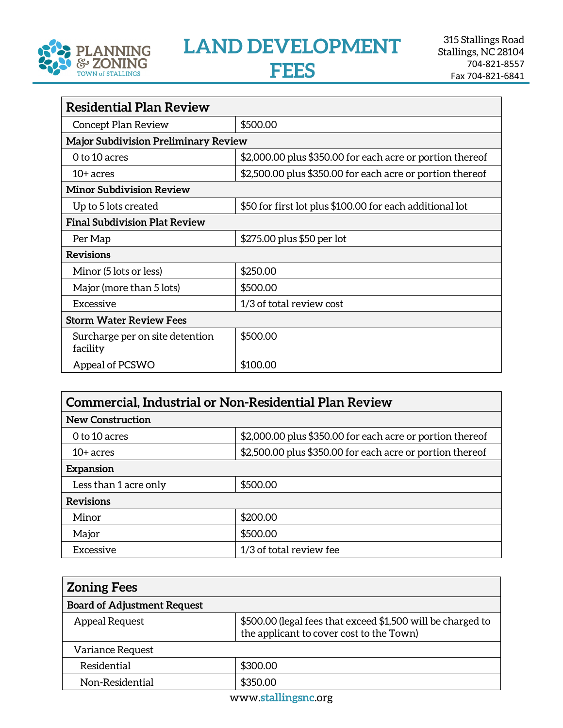

**LAND DEVELOPMENT FEES**

| <b>Residential Plan Review</b>              |                                                           |  |
|---------------------------------------------|-----------------------------------------------------------|--|
| Concept Plan Review                         | \$500.00                                                  |  |
| <b>Major Subdivision Preliminary Review</b> |                                                           |  |
| 0 to 10 acres                               | \$2,000.00 plus \$350.00 for each acre or portion thereof |  |
| $10+$ acres                                 | \$2,500.00 plus \$350.00 for each acre or portion thereof |  |
| <b>Minor Subdivision Review</b>             |                                                           |  |
| Up to 5 lots created                        | \$50 for first lot plus \$100.00 for each additional lot  |  |
| <b>Final Subdivision Plat Review</b>        |                                                           |  |
| Per Map                                     | \$275.00 plus \$50 per lot                                |  |
| <b>Revisions</b>                            |                                                           |  |
| Minor (5 lots or less)                      | \$250.00                                                  |  |
| Major (more than 5 lots)                    | \$500.00                                                  |  |
| Excessive                                   | 1/3 of total review cost                                  |  |
| <b>Storm Water Review Fees</b>              |                                                           |  |
| Surcharge per on site detention<br>facility | \$500.00                                                  |  |
| Appeal of PCSWO                             | \$100.00                                                  |  |

| Commercial, Industrial or Non-Residential Plan Review |                                                           |  |
|-------------------------------------------------------|-----------------------------------------------------------|--|
| <b>New Construction</b>                               |                                                           |  |
| 0 to 10 acres                                         | \$2,000.00 plus \$350.00 for each acre or portion thereof |  |
| $10+$ acres                                           | \$2,500.00 plus \$350.00 for each acre or portion thereof |  |
| Expansion                                             |                                                           |  |
| Less than 1 acre only                                 | \$500.00                                                  |  |
| <b>Revisions</b>                                      |                                                           |  |
| Minor                                                 | \$200.00                                                  |  |
| Major                                                 | \$500.00                                                  |  |
| Excessive                                             | 1/3 of total review fee                                   |  |

| <b>Zoning Fees</b>                 |                                                                                                         |
|------------------------------------|---------------------------------------------------------------------------------------------------------|
| <b>Board of Adjustment Request</b> |                                                                                                         |
| <b>Appeal Request</b>              | \$500.00 (legal fees that exceed \$1,500 will be charged to<br>the applicant to cover cost to the Town) |
| <b>Variance Request</b>            |                                                                                                         |
| Residential                        | \$300.00                                                                                                |
| Non-Residential                    | \$350.00                                                                                                |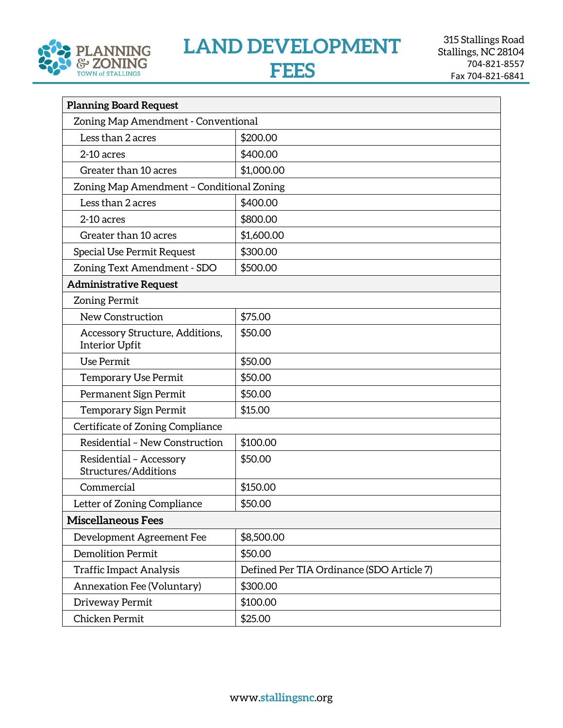

**LAND DEVELOPMENT** 

|--|

| <b>Planning Board Request</b>                            |                                           |  |
|----------------------------------------------------------|-------------------------------------------|--|
| Zoning Map Amendment - Conventional                      |                                           |  |
| Less than 2 acres                                        | \$200.00                                  |  |
| 2-10 acres                                               | \$400.00                                  |  |
| Greater than 10 acres                                    | \$1,000.00                                |  |
| Zoning Map Amendment - Conditional Zoning                |                                           |  |
| Less than 2 acres                                        | \$400.00                                  |  |
| 2-10 acres                                               | \$800.00                                  |  |
| Greater than 10 acres                                    | \$1,600.00                                |  |
| Special Use Permit Request                               | \$300.00                                  |  |
| Zoning Text Amendment - SDO                              | \$500.00                                  |  |
| <b>Administrative Request</b>                            |                                           |  |
| <b>Zoning Permit</b>                                     |                                           |  |
| New Construction                                         | \$75.00                                   |  |
| Accessory Structure, Additions,<br><b>Interior Upfit</b> | \$50.00                                   |  |
| <b>Use Permit</b>                                        | \$50.00                                   |  |
| Temporary Use Permit                                     | \$50.00                                   |  |
| Permanent Sign Permit                                    | \$50.00                                   |  |
| Temporary Sign Permit                                    | \$15.00                                   |  |
| Certificate of Zoning Compliance                         |                                           |  |
| Residential - New Construction                           | \$100.00                                  |  |
| Residential - Accessory<br>Structures/Additions          | \$50.00                                   |  |
| Commercial                                               | \$150.00                                  |  |
| Letter of Zoning Compliance                              | \$50.00                                   |  |
| <b>Miscellaneous Fees</b>                                |                                           |  |
| Development Agreement Fee                                | \$8,500.00                                |  |
| <b>Demolition Permit</b>                                 | \$50.00                                   |  |
| <b>Traffic Impact Analysis</b>                           | Defined Per TIA Ordinance (SDO Article 7) |  |
| Annexation Fee (Voluntary)                               | \$300.00                                  |  |
| Driveway Permit                                          | \$100.00                                  |  |
| Chicken Permit                                           | \$25.00                                   |  |